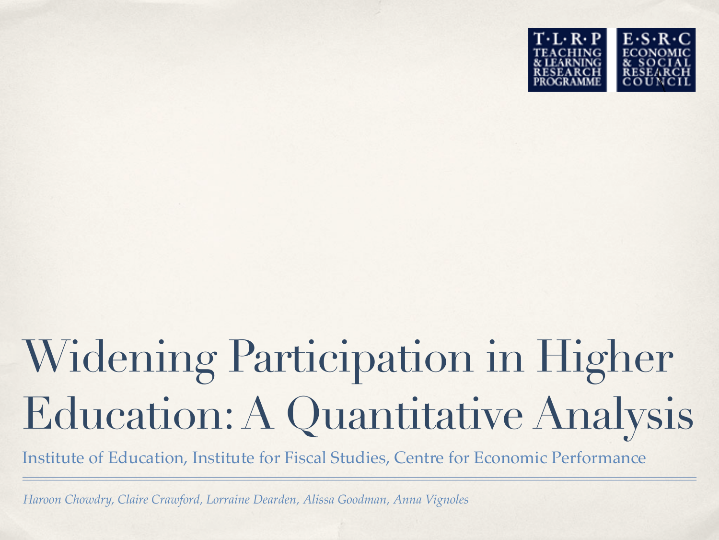

# Widening Participation in Higher Education: A Quantitative Analysis

Institute of Education, Institute for Fiscal Studies, Centre for Economic Performance

*Haroon Chowdry, Claire Crawford, Lorraine Dearden, Alissa Goodman, Anna Vignoles*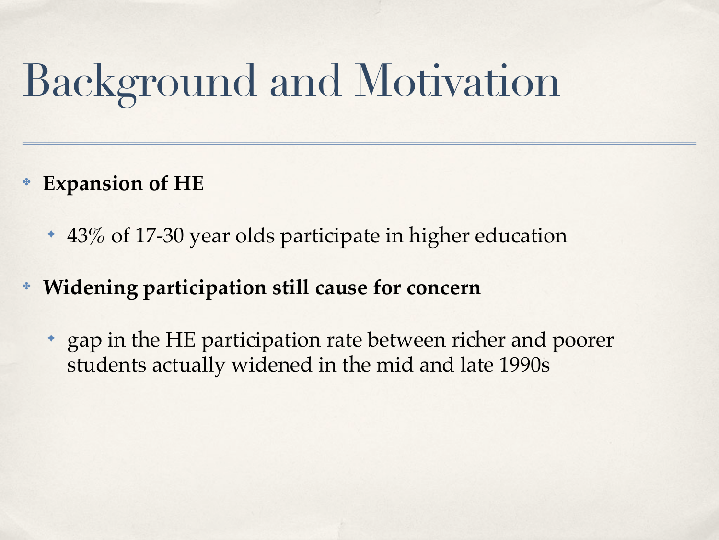## Background and Motivation

- **Expansion of HE** 
	- ✦ 43% of 17-30 year olds participate in higher education
- ✤ **Widening participation still cause for concern**
	- ✦ gap in the HE participation rate between richer and poorer students actually widened in the mid and late 1990s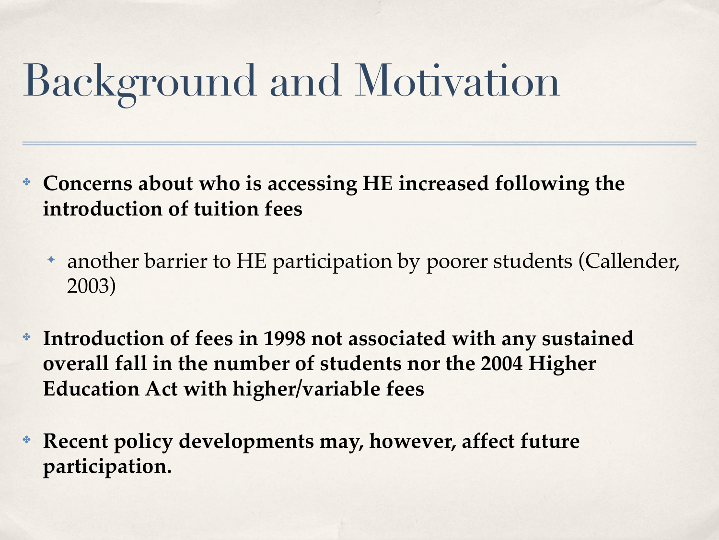## Background and Motivation

- ✤ **Concerns about who is accessing HE increased following the introduction of tuition fees**
	- ✦ another barrier to HE participation by poorer students (Callender, 2003)
- ✤ **Introduction of fees in 1998 not associated with any sustained overall fall in the number of students nor the 2004 Higher Education Act with higher/variable fees**
- ✤ **Recent policy developments may, however, affect future participation.**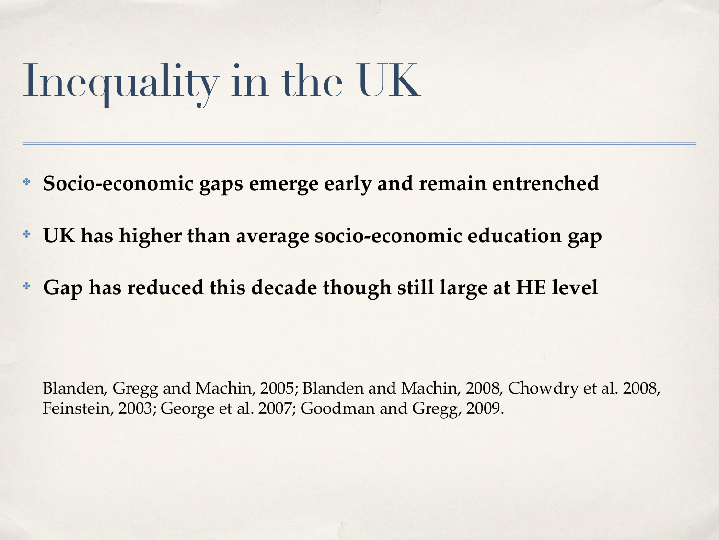## Inequality in the UK

- ✤ **Socio-economic gaps emerge early and remain entrenched**
- ✤ **UK has higher than average socio-economic education gap**
- ✤ **Gap has reduced this decade though still large at HE level**

Blanden, Gregg and Machin, 2005; Blanden and Machin, 2008, Chowdry et al. 2008, Feinstein, 2003; George et al. 2007; Goodman and Gregg, 2009.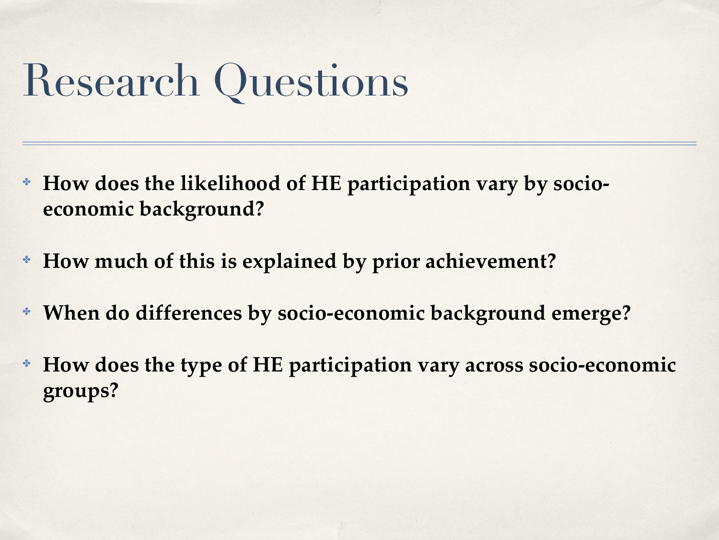### Research Questions

- ✤ **How does the likelihood of HE participation vary by socioeconomic background?**
- ✤ **How much of this is explained by prior achievement?**
- ✤ **When do differences by socio-economic background emerge?**
- ✤ **How does the type of HE participation vary across socio-economic groups?**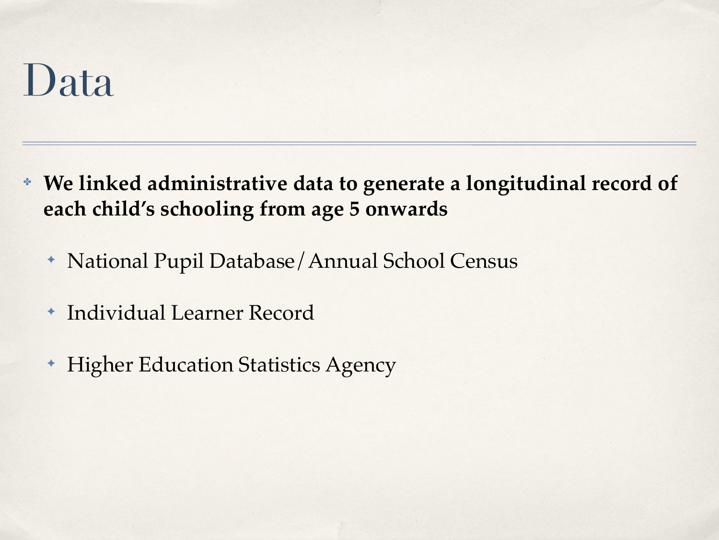#### Data

- ✤ **We linked administrative data to generate a longitudinal record of each child's schooling from age 5 onwards**
	- ✦ National Pupil Database/Annual School Census
	- ✦ Individual Learner Record
	- ✦ Higher Education Statistics Agency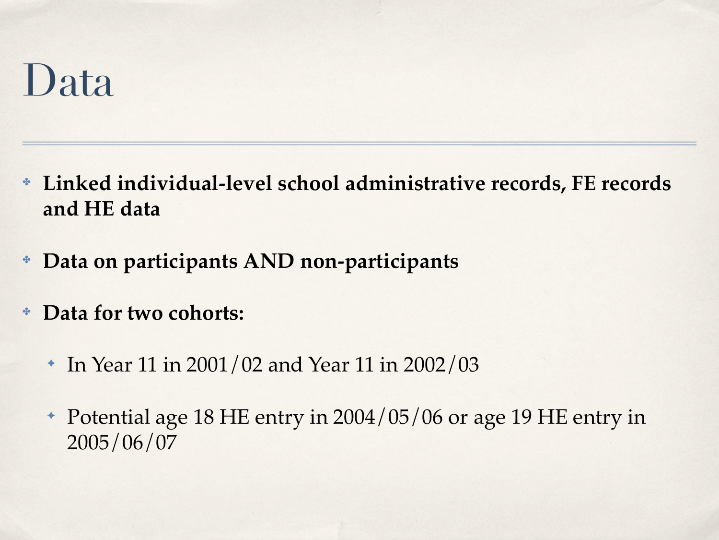#### Data

- ✤ **Linked individual-level school administrative records, FE records and HE data**
- ✤ **Data on participants AND non-participants**
- ✤ **Data for two cohorts:**
	- ✦ In Year 11 in 2001/02 and Year 11 in 2002/03
	- ✦ Potential age 18 HE entry in 2004/05/06 or age 19 HE entry in 2005/06/07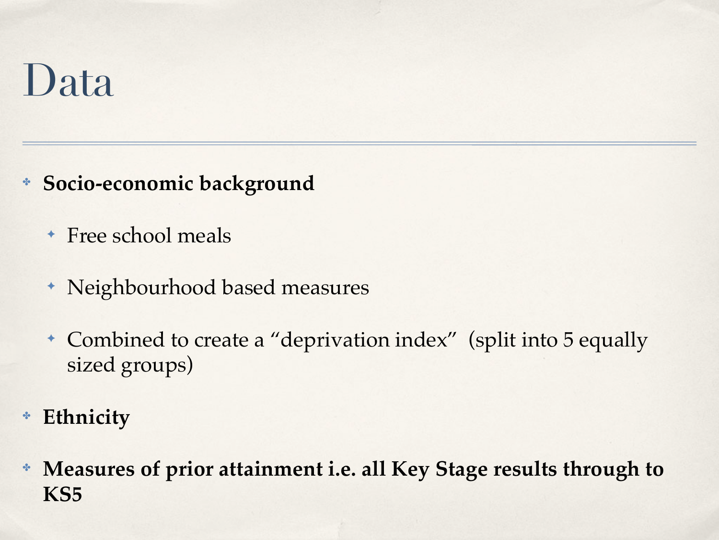### Data

- ✤ **Socio-economic background**
	- ✦ Free school meals
	- ✦ Neighbourhood based measures
	- ✦ Combined to create a "deprivation index" (split into 5 equally sized groups)
- ✤ **Ethnicity**
- ✤ **Measures of prior attainment i.e. all Key Stage results through to KS5**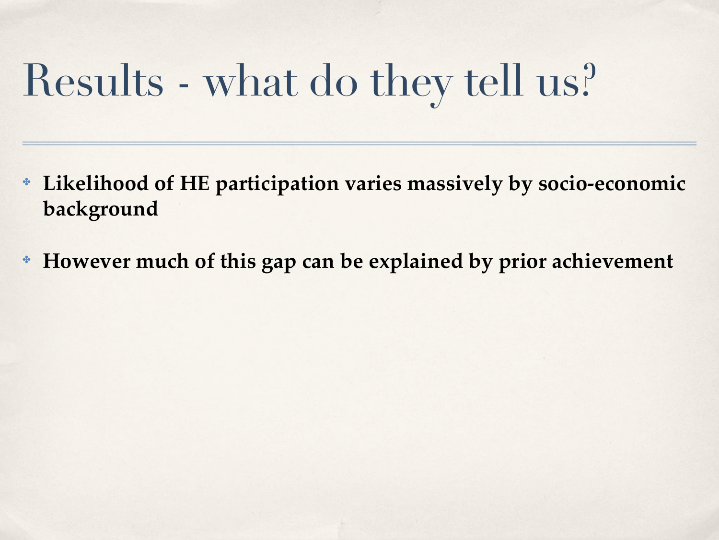### Results - what do they tell us?

- ✤ **Likelihood of HE participation varies massively by socio-economic background**
- ✤ **However much of this gap can be explained by prior achievement**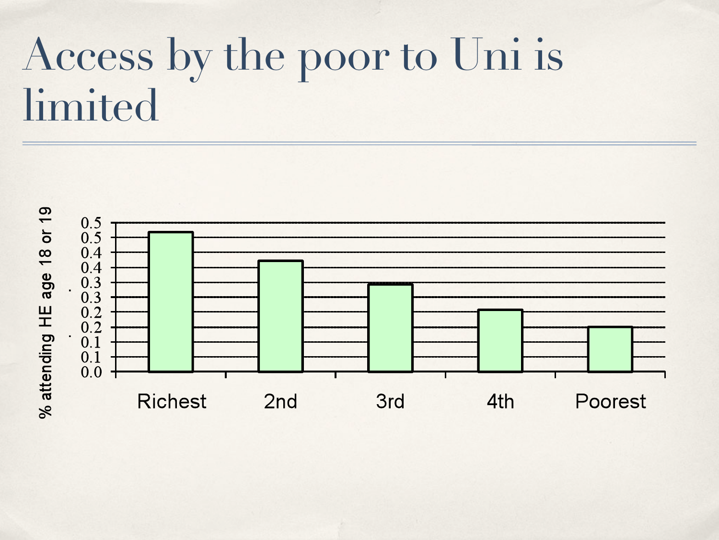### Access by the poor to Uni is limited

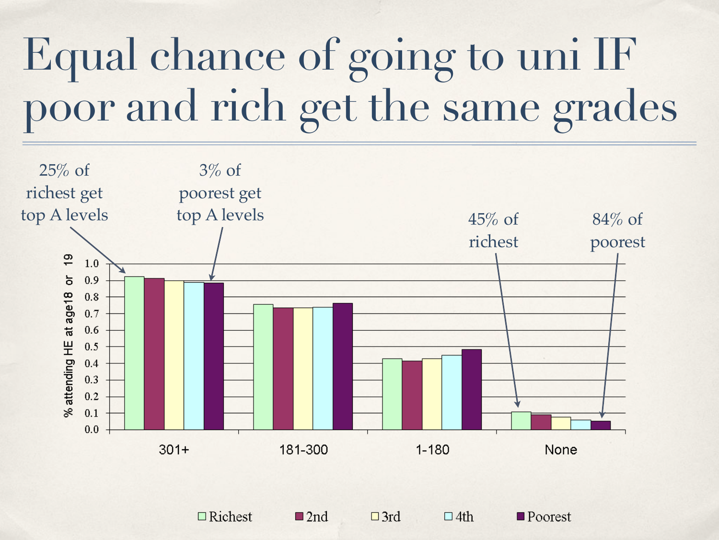## Equal chance of going to uni IF poor and rich get the same grades



 $\Box$  Richest

 $\square$  2nd

 $\Box$ 3rd

 $\Box$  4th

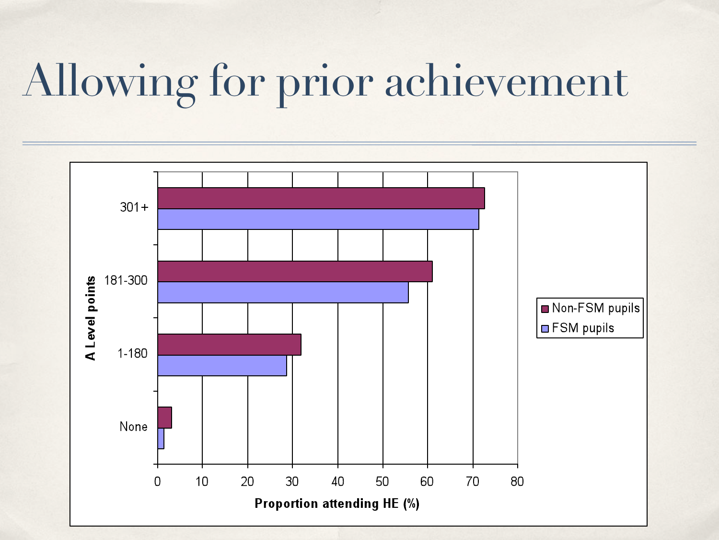### Allowing for prior achievement

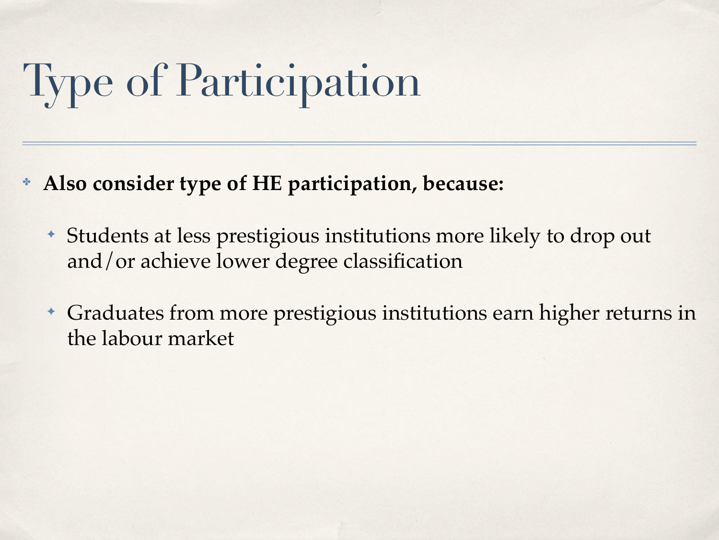# Type of Participation

- ✤ **Also consider type of HE participation, because:**
	- ✦ Students at less prestigious institutions more likely to drop out and/or achieve lower degree classification
	- ✦ Graduates from more prestigious institutions earn higher returns in the labour market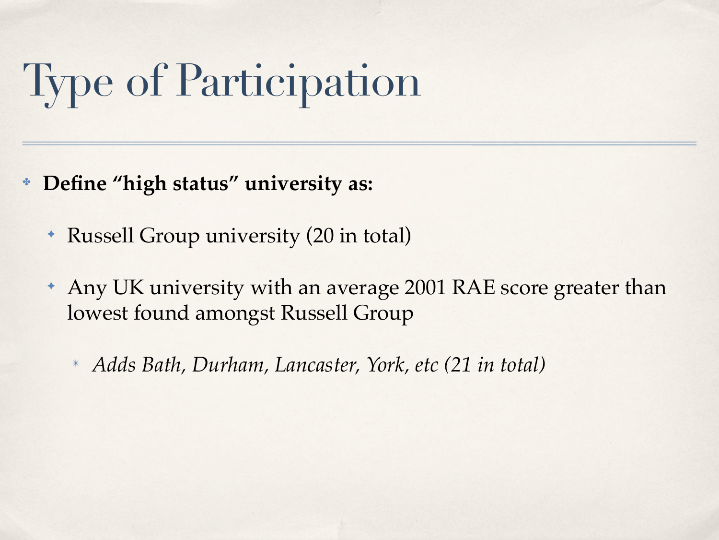## Type of Participation

- ✤ **Define "high status" university as:**
	- ✦ Russell Group university (20 in total)
	- ✦ Any UK university with an average 2001 RAE score greater than lowest found amongst Russell Group
		- ✴ *Adds Bath, Durham, Lancaster, York, etc (21 in total)*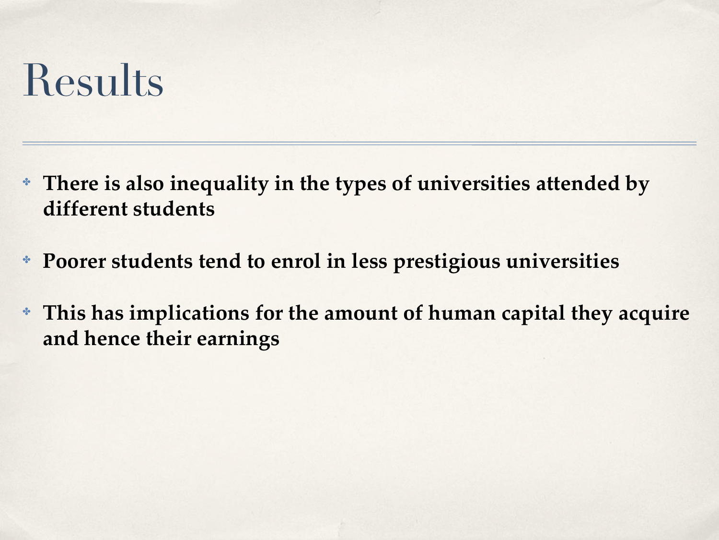#### Results

- ✤ **There is also inequality in the types of universities attended by different students**
- ✤ **Poorer students tend to enrol in less prestigious universities**
- ✤ **This has implications for the amount of human capital they acquire and hence their earnings**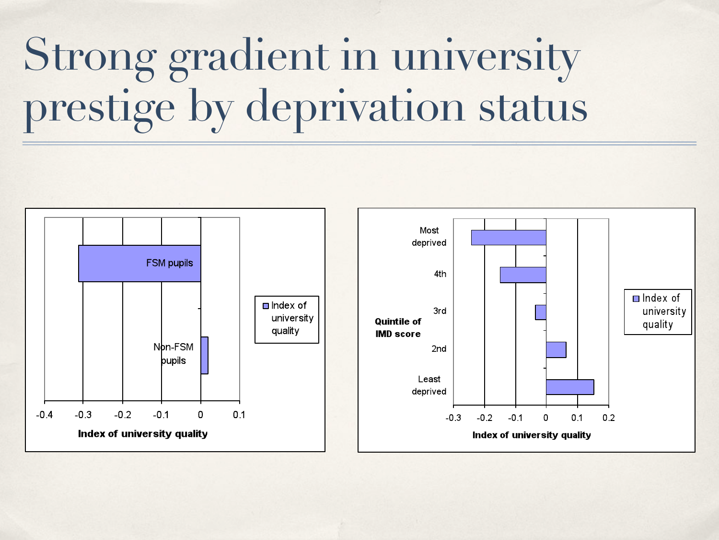## Strong gradient in university prestige by deprivation status

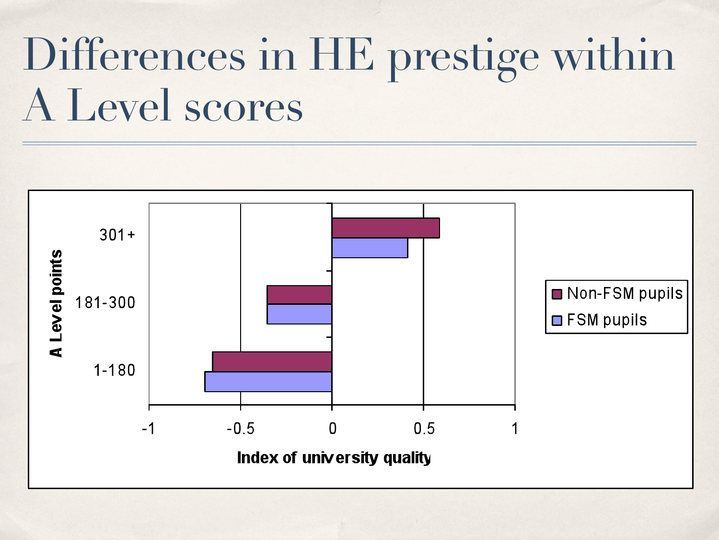### Differences in HE prestige within A Level scores

![](_page_16_Figure_1.jpeg)